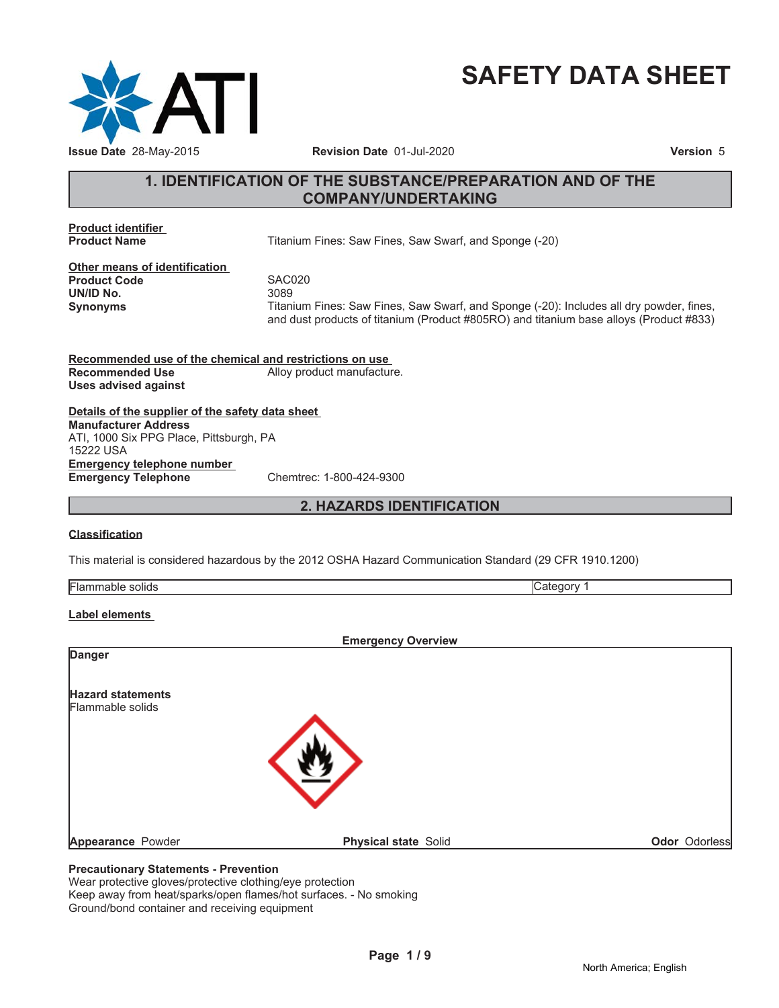

# **SAFETY DATA SHEET**

# **1. IDENTIFICATION OF THE SUBSTANCE/PREPARATION AND OF THE COMPANY/UNDERTAKING**

**Product identifier**

**Titanium Fines: Saw Fines, Saw Swarf, and Sponge (-20)** 

**Other means of identification Product Code 5AC020**<br> **UN/ID No.** 3089 **UN/ID No.** 

**Synonyms** Titanium Fines: Saw Fines, Saw Swarf, and Sponge (-20): Includes all dry powder, fines, and dust products of titanium (Product #805RO) and titanium base alloys (Product #833)

**Recommended use of the chemical and restrictions on use Recommended Use** Alloy product manufacture. **Uses advised against**

**Details of the supplier of the safety data sheet Emergency telephone number Emergency Telephone** Chemtrec: 1-800-424-9300 **Manufacturer Address** ATI, 1000 Six PPG Place, Pittsburgh, PA 15222 USA

**2. HAZARDS IDENTIFICATION**

# **Classification**

This material is considered hazardous by the 2012 OSHA Hazard Communication Standard (29 CFR 1910.1200)

| 111.7 |  |
|-------|--|

# **Label elements**

| <b>Emergency Overview</b> |                             |               |
|---------------------------|-----------------------------|---------------|
| <b>Danger</b>             |                             |               |
| <b>Hazard statements</b>  |                             |               |
| Flammable solids          |                             |               |
|                           |                             |               |
|                           |                             |               |
|                           |                             |               |
| Appearance Powder         | <b>Physical state Solid</b> | Odor Odorless |
|                           |                             |               |

# **Precautionary Statements - Prevention**

Wear protective gloves/protective clothing/eye protection Keep away from heat/sparks/open flames/hot surfaces. - No smoking Ground/bond container and receiving equipment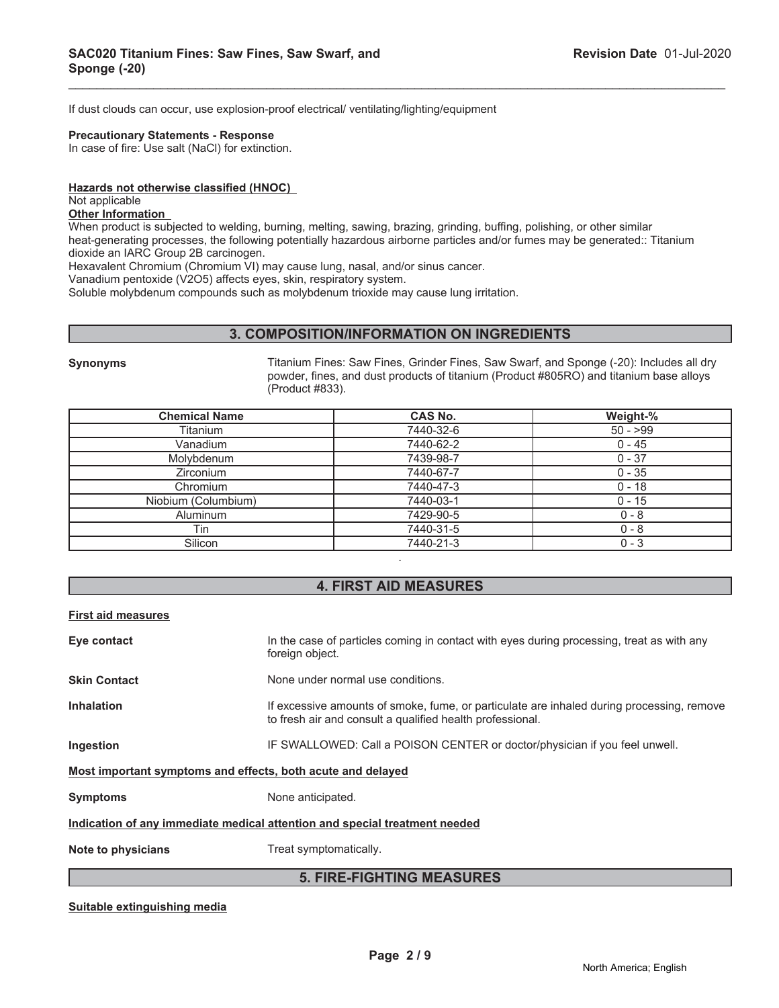If dust clouds can occur, use explosion-proof electrical/ ventilating/lighting/equipment

#### **Precautionary Statements - Response**

In case of fire: Use salt (NaCl) for extinction.

#### **Hazards not otherwise classified (HNOC)**

Not applicable

#### **Other Information**

When product is subjected to welding, burning, melting, sawing, brazing, grinding, buffing, polishing, or other similar heat-generating processes, the following potentially hazardous airborne particles and/or fumes may be generated:: Titanium dioxide an IARC Group 2B carcinogen.

\_\_\_\_\_\_\_\_\_\_\_\_\_\_\_\_\_\_\_\_\_\_\_\_\_\_\_\_\_\_\_\_\_\_\_\_\_\_\_\_\_\_\_\_\_\_\_\_\_\_\_\_\_\_\_\_\_\_\_\_\_\_\_\_\_\_\_\_\_\_\_\_\_\_\_\_\_\_\_\_\_\_\_\_\_\_\_\_\_\_\_\_\_

Hexavalent Chromium (Chromium VI) may cause lung, nasal, and/or sinus cancer.

Vanadium pentoxide (V2O5) affects eyes, skin, respiratory system.

Soluble molybdenum compounds such as molybdenum trioxide may cause lung irritation.

# **3. COMPOSITION/INFORMATION ON INGREDIENTS**

**Synonyms** Titanium Fines: Saw Fines, Grinder Fines, Saw Swarf, and Sponge (-20): Includes all dry powder, fines, and dust products of titanium (Product #805RO) and titanium base alloys (Product #833).

| <b>Chemical Name</b> | <b>CAS No.</b> | Weight-%  |
|----------------------|----------------|-----------|
| Titanium             | 7440-32-6      | $50 - 99$ |
| Vanadium             | 7440-62-2      | $0 - 45$  |
| Molybdenum           | 7439-98-7      | $0 - 37$  |
| <b>Zirconium</b>     | 7440-67-7      | $0 - 35$  |
| Chromium             | 7440-47-3      | $0 - 18$  |
| Niobium (Columbium)  | 7440-03-1      | $0 - 15$  |
| <b>Aluminum</b>      | 7429-90-5      | $0 - 8$   |
| Tin                  | 7440-31-5      | $0 - 8$   |
| Silicon              | 7440-21-3      | $0 - 3$   |
|                      |                |           |

# **4. FIRST AID MEASURES**

#### **First aid measures**

| Eye contact                                                                | In the case of particles coming in contact with eyes during processing, treat as with any<br>foreign object.                                           |  |
|----------------------------------------------------------------------------|--------------------------------------------------------------------------------------------------------------------------------------------------------|--|
| <b>Skin Contact</b>                                                        | None under normal use conditions.                                                                                                                      |  |
| <b>Inhalation</b>                                                          | If excessive amounts of smoke, fume, or particulate are inhaled during processing, remove<br>to fresh air and consult a qualified health professional. |  |
| Ingestion                                                                  | IF SWALLOWED: Call a POISON CENTER or doctor/physician if you feel unwell.                                                                             |  |
| Most important symptoms and effects, both acute and delayed                |                                                                                                                                                        |  |
| <b>Symptoms</b>                                                            | None anticipated.                                                                                                                                      |  |
| Indication of any immediate medical attention and special treatment needed |                                                                                                                                                        |  |
| Note to physicians                                                         | Treat symptomatically.                                                                                                                                 |  |
| <b>5. FIRE-FIGHTING MEASURES</b>                                           |                                                                                                                                                        |  |

**Suitable extinguishing media**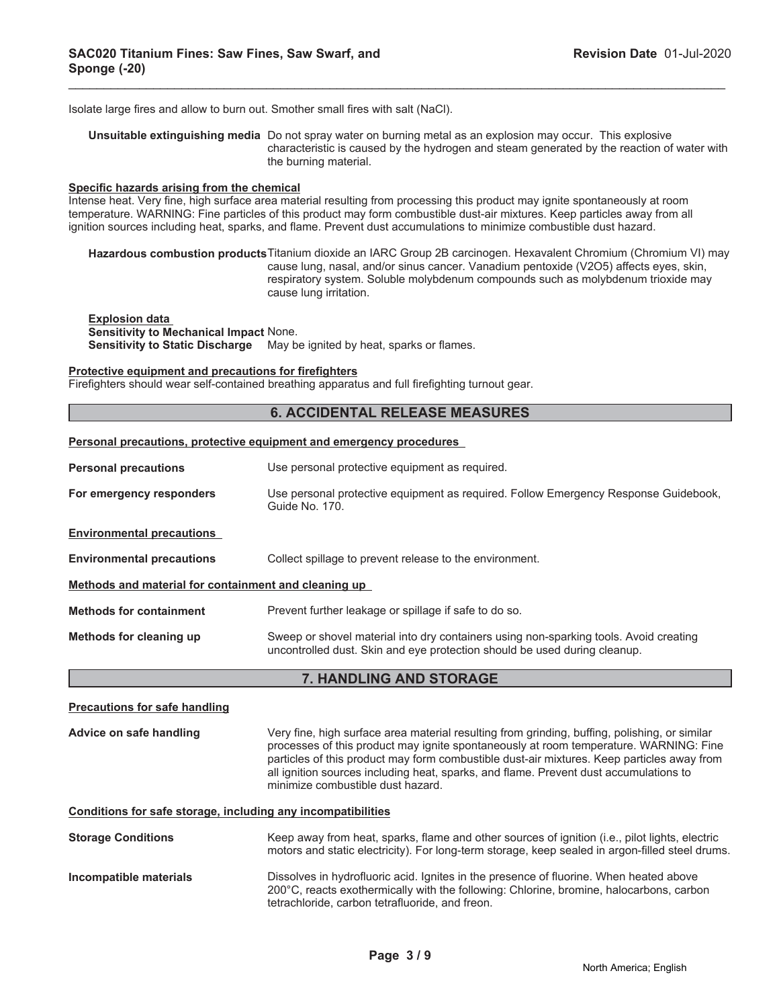Isolate large fires and allow to burn out. Smother small fires with salt (NaCl).

**Unsuitable extinguishing media** Do not spray water on burning metal as an explosion may occur. This explosive characteristic is caused by the hydrogen and steam generated by the reaction of water with the burning material.

\_\_\_\_\_\_\_\_\_\_\_\_\_\_\_\_\_\_\_\_\_\_\_\_\_\_\_\_\_\_\_\_\_\_\_\_\_\_\_\_\_\_\_\_\_\_\_\_\_\_\_\_\_\_\_\_\_\_\_\_\_\_\_\_\_\_\_\_\_\_\_\_\_\_\_\_\_\_\_\_\_\_\_\_\_\_\_\_\_\_\_\_\_

#### **Specific hazards arising from the chemical**

Intense heat. Very fine, high surface area material resulting from processing this product may ignite spontaneously at room temperature. WARNING: Fine particles of this product may form combustible dust-air mixtures. Keep particles away from all ignition sources including heat, sparks, and flame. Prevent dust accumulations to minimize combustible dust hazard.

**Hazardous combustion products**Titanium dioxide an IARC Group 2B carcinogen. Hexavalent Chromium (Chromium VI) may cause lung, nasal, and/or sinus cancer. Vanadium pentoxide (V2O5) affects eyes, skin, respiratory system. Soluble molybdenum compounds such as molybdenum trioxide may cause lung irritation.

**Explosion data Sensitivity to Mechanical Impact** None. **Sensitivity to Static Discharge** May be ignited by heat, sparks or flames.

#### **Protective equipment and precautions for firefighters**

Firefighters should wear self-contained breathing apparatus and full firefighting turnout gear.

# **6. ACCIDENTAL RELEASE MEASURES**

#### **Personal precautions, protective equipment and emergency procedures**

| <b>Personal precautions</b>                          | Use personal protective equipment as required.                                                                                                                     |  |
|------------------------------------------------------|--------------------------------------------------------------------------------------------------------------------------------------------------------------------|--|
| For emergency responders                             | Use personal protective equipment as required. Follow Emergency Response Guidebook,<br>Guide No. 170.                                                              |  |
| <b>Environmental precautions</b>                     |                                                                                                                                                                    |  |
| <b>Environmental precautions</b>                     | Collect spillage to prevent release to the environment.                                                                                                            |  |
| Methods and material for containment and cleaning up |                                                                                                                                                                    |  |
| <b>Methods for containment</b>                       | Prevent further leakage or spillage if safe to do so.                                                                                                              |  |
| Methods for cleaning up                              | Sweep or shovel material into dry containers using non-sparking tools. Avoid creating<br>uncontrolled dust. Skin and eye protection should be used during cleanup. |  |

# **7. HANDLING AND STORAGE**

| <b>Precautions for safe handling</b>                         |                                                                                                                                                                                                                                                                                                                                                                                                                    |
|--------------------------------------------------------------|--------------------------------------------------------------------------------------------------------------------------------------------------------------------------------------------------------------------------------------------------------------------------------------------------------------------------------------------------------------------------------------------------------------------|
| Advice on safe handling                                      | Very fine, high surface area material resulting from grinding, buffing, polishing, or similar<br>processes of this product may ignite spontaneously at room temperature. WARNING: Fine<br>particles of this product may form combustible dust-air mixtures. Keep particles away from<br>all ignition sources including heat, sparks, and flame. Prevent dust accumulations to<br>minimize combustible dust hazard. |
| Conditions for safe storage, including any incompatibilities |                                                                                                                                                                                                                                                                                                                                                                                                                    |
| <b>Storage Conditions</b>                                    | Keep away from heat, sparks, flame and other sources of ignition (i.e., pilot lights, electric<br>motors and static electricity). For long-term storage, keep sealed in argon-filled steel drums.                                                                                                                                                                                                                  |
| Incompatible materials                                       | Dissolves in hydrofluoric acid. Ignites in the presence of fluorine. When heated above<br>200°C, reacts exothermically with the following: Chlorine, bromine, halocarbons, carbon<br>tetrachloride, carbon tetrafluoride, and freon.                                                                                                                                                                               |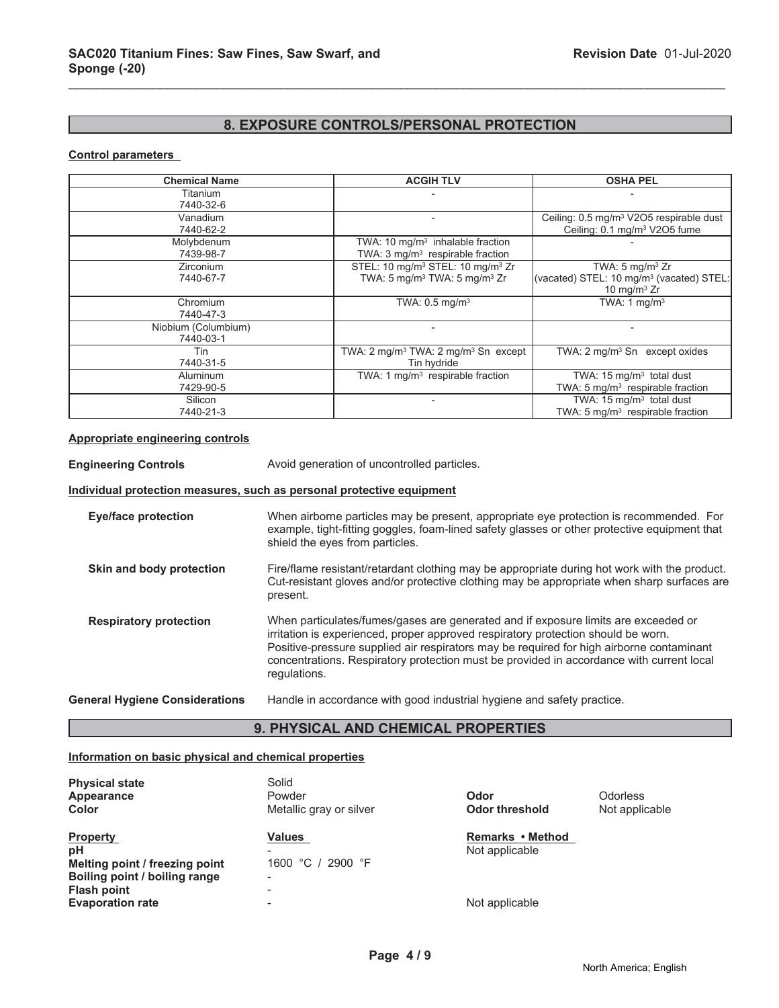# **8. EXPOSURE CONTROLS/PERSONAL PROTECTION**

\_\_\_\_\_\_\_\_\_\_\_\_\_\_\_\_\_\_\_\_\_\_\_\_\_\_\_\_\_\_\_\_\_\_\_\_\_\_\_\_\_\_\_\_\_\_\_\_\_\_\_\_\_\_\_\_\_\_\_\_\_\_\_\_\_\_\_\_\_\_\_\_\_\_\_\_\_\_\_\_\_\_\_\_\_\_\_\_\_\_\_\_\_

# **Control parameters**

| <b>Chemical Name</b> | <b>ACGIH TLV</b>                                          | <b>OSHA PEL</b>                                      |
|----------------------|-----------------------------------------------------------|------------------------------------------------------|
| Titanium             |                                                           |                                                      |
| 7440-32-6            |                                                           |                                                      |
| Vanadium             |                                                           | Ceiling: 0.5 mg/m <sup>3</sup> V2O5 respirable dust  |
| 7440-62-2            |                                                           | Ceiling: 0.1 mg/m <sup>3</sup> V2O5 fume             |
| Molybdenum           | TWA: 10 $mg/m3$ inhalable fraction                        |                                                      |
| 7439-98-7            | TWA: $3 \text{ mg/m}^3$ respirable fraction               |                                                      |
| Zirconium            | STEL: 10 mg/m <sup>3</sup> STEL: 10 mg/m <sup>3</sup> Zr  | TWA: $5 \text{ mg/m}^3$ Zr                           |
| 7440-67-7            | TWA: 5 mg/m <sup>3</sup> TWA: 5 mg/m <sup>3</sup> Zr      | (vacated) STEL: 10 mg/m <sup>3</sup> (vacated) STEL: |
|                      |                                                           | 10 mg/m $3$ Zr                                       |
| Chromium             | TWA: $0.5$ mg/m <sup>3</sup>                              | TWA: 1 $mq/m3$                                       |
| 7440-47-3            |                                                           |                                                      |
| Niobium (Columbium)  |                                                           |                                                      |
| 7440-03-1            |                                                           |                                                      |
| Tin                  | TWA: $2 \text{ mq/m}^3$ TWA: $2 \text{ mq/m}^3$ Sn except | TWA: 2 mg/m <sup>3</sup> Sn except oxides            |
| 7440-31-5            | Tin hydride                                               |                                                      |
| Aluminum             | TWA: 1 $mq/m3$ respirable fraction                        | TWA: $15 \text{ mg/m}^3$ total dust                  |
| 7429-90-5            |                                                           | TWA: 5 mg/m <sup>3</sup> respirable fraction         |
| Silicon              |                                                           | TWA: $15 \text{ mg/m}^3$ total dust                  |
| 7440-21-3            |                                                           | TWA: $5 \text{ mg/m}^3$ respirable fraction          |

#### **Appropriate engineering controls**

**Engineering Controls** Avoid generation of uncontrolled particles.

#### **Individual protection measures, such as personal protective equipment**

**Eye/face protection** When airborne particles may be present, appropriate eye protection is recommended. For example, tight-fitting goggles, foam-lined safety glasses or other protective equipment that shield the eyes from particles. **Skin and body protection** Fire/flame resistant/retardant clothing may be appropriate during hot work with the product. Cut-resistant gloves and/or protective clothing may be appropriate when sharp surfaces are present.

**Respiratory protection** When particulates/fumes/gases are generated and if exposure limits are exceeded or irritation is experienced, proper approved respiratory protection should be worn. Positive-pressure supplied air respirators may be required for high airborne contaminant concentrations. Respiratory protection must be provided in accordance with current local regulations.

# **General Hygiene Considerations** Handle in accordance with good industrial hygiene and safety practice.

# **9. PHYSICAL AND CHEMICAL PROPERTIES**

# **Information on basic physical and chemical properties**

| <b>Physical state</b><br>Appearance<br>Color                                                                   | Solid<br>Powder<br>Metallic gray or silver | Odor<br><b>Odor threshold</b>      | <b>Odorless</b><br>Not applicable |
|----------------------------------------------------------------------------------------------------------------|--------------------------------------------|------------------------------------|-----------------------------------|
| <b>Property</b><br>рH<br>Melting point / freezing point<br>Boiling point / boiling range<br><b>Flash point</b> | <b>Values</b><br>1600 °C / 2900 °F<br>-    | Remarks • Method<br>Not applicable |                                   |
| <b>Evaporation rate</b>                                                                                        |                                            | Not applicable                     |                                   |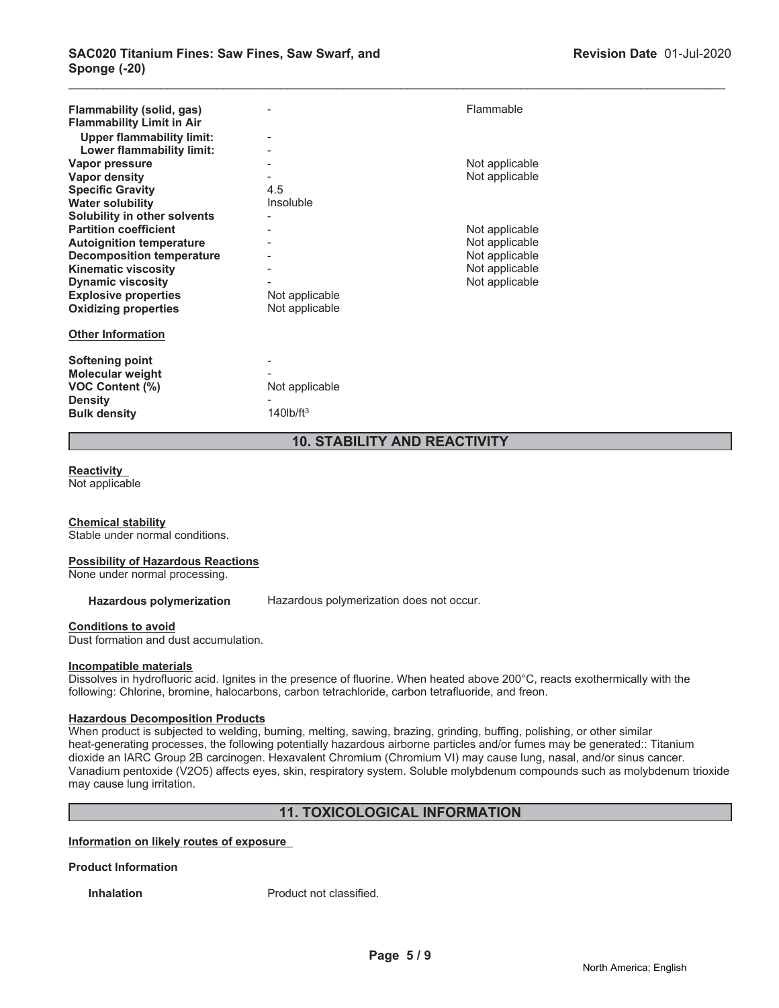| Flammability (solid, gas)<br><b>Flammability Limit in Air</b><br><b>Upper flammability limit:</b><br>Lower flammability limit: |                 | Flammable      |
|--------------------------------------------------------------------------------------------------------------------------------|-----------------|----------------|
| Vapor pressure                                                                                                                 |                 | Not applicable |
| <b>Vapor density</b>                                                                                                           |                 | Not applicable |
| <b>Specific Gravity</b>                                                                                                        | 4.5             |                |
| <b>Water solubility</b>                                                                                                        | Insoluble       |                |
| Solubility in other solvents                                                                                                   |                 |                |
| <b>Partition coefficient</b>                                                                                                   |                 | Not applicable |
| <b>Autoignition temperature</b>                                                                                                |                 | Not applicable |
| <b>Decomposition temperature</b>                                                                                               |                 | Not applicable |
| <b>Kinematic viscosity</b>                                                                                                     |                 | Not applicable |
| <b>Dynamic viscosity</b>                                                                                                       |                 | Not applicable |
| <b>Explosive properties</b>                                                                                                    | Not applicable  |                |
| <b>Oxidizing properties</b>                                                                                                    | Not applicable  |                |
| <b>Other Information</b>                                                                                                       |                 |                |
| Softening point                                                                                                                |                 |                |
| <b>Molecular weight</b>                                                                                                        |                 |                |
| <b>VOC Content (%)</b>                                                                                                         | Not applicable  |                |
| <b>Density</b>                                                                                                                 |                 |                |
| <b>Bulk density</b>                                                                                                            | $140$ lb/ft $3$ |                |

# **10. STABILITY AND REACTIVITY**

\_\_\_\_\_\_\_\_\_\_\_\_\_\_\_\_\_\_\_\_\_\_\_\_\_\_\_\_\_\_\_\_\_\_\_\_\_\_\_\_\_\_\_\_\_\_\_\_\_\_\_\_\_\_\_\_\_\_\_\_\_\_\_\_\_\_\_\_\_\_\_\_\_\_\_\_\_\_\_\_\_\_\_\_\_\_\_\_\_\_\_\_\_

# **Reactivity**

Not applicable

# **Chemical stability**

Stable under normal conditions.

# **Possibility of Hazardous Reactions**

None under normal processing.

Hazardous polymerization Hazardous polymerization does not occur.

# **Conditions to avoid**

Dust formation and dust accumulation.

# **Incompatible materials**

Dissolves in hydrofluoric acid. Ignites in the presence of fluorine. When heated above 200°C, reacts exothermically with the following: Chlorine, bromine, halocarbons, carbon tetrachloride, carbon tetrafluoride, and freon.

# **Hazardous Decomposition Products**

When product is subjected to welding, burning, melting, sawing, brazing, grinding, buffing, polishing, or other similar heat-generating processes, the following potentially hazardous airborne particles and/or fumes may be generated:: Titanium dioxide an IARC Group 2B carcinogen. Hexavalent Chromium (Chromium VI) may cause lung, nasal, and/or sinus cancer. Vanadium pentoxide (V2O5) affects eyes, skin, respiratory system. Soluble molybdenum compounds such as molybdenum trioxide may cause lung irritation.

# **11. TOXICOLOGICAL INFORMATION**

#### **Information on likely routes of exposure**

# **Product Information**

**Inhalation** Product not classified.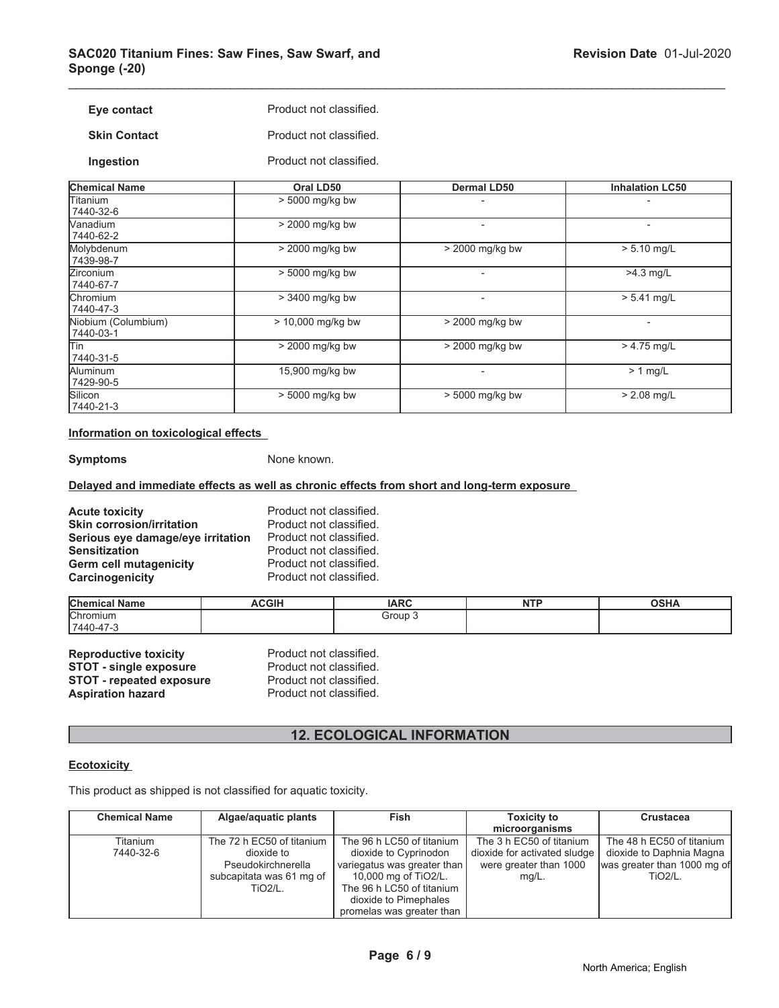| Eye contact         | Product not classified. |
|---------------------|-------------------------|
| <b>Skin Contact</b> | Product not classified. |

**Ingestion** Product not classified.

| <b>Chemical Name</b>             | Oral LD50         | <b>Dermal LD50</b>       | <b>Inhalation LC50</b> |
|----------------------------------|-------------------|--------------------------|------------------------|
| lTitanium<br>7440-32-6           | $> 5000$ mg/kg bw |                          |                        |
| Vanadium<br>7440-62-2            | > 2000 mg/kg bw   |                          |                        |
| Molybdenum<br>7439-98-7          | > 2000 mg/kg bw   | $>$ 2000 mg/kg bw        | $> 5.10$ mg/L          |
| <b>Zirconium</b><br>7440-67-7    | > 5000 mg/kg bw   | $\overline{a}$           | $>4.3$ mg/L            |
| <b>Chromium</b><br>7440-47-3     | > 3400 mg/kg bw   | $\overline{\phantom{0}}$ | $> 5.41$ mg/L          |
| Niobium (Columbium)<br>7440-03-1 | > 10,000 mg/kg bw | > 2000 mg/kg bw          |                        |
| lTin<br>7440-31-5                | > 2000 mg/kg bw   | > 2000 mg/kg bw          | $> 4.75$ mg/L          |
| Aluminum<br>7429-90-5            | 15,900 mg/kg bw   |                          | $> 1$ mg/L             |
| Silicon<br>7440-21-3             | > 5000 mg/kg bw   | > 5000 mg/kg bw          | $> 2.08$ mg/L          |

\_\_\_\_\_\_\_\_\_\_\_\_\_\_\_\_\_\_\_\_\_\_\_\_\_\_\_\_\_\_\_\_\_\_\_\_\_\_\_\_\_\_\_\_\_\_\_\_\_\_\_\_\_\_\_\_\_\_\_\_\_\_\_\_\_\_\_\_\_\_\_\_\_\_\_\_\_\_\_\_\_\_\_\_\_\_\_\_\_\_\_\_\_

# **Information on toxicological effects**

**Symptoms** None known.

# **Delayed and immediate effects as well as chronic effects from short and long-term exposure**

| <b>Acute toxicity</b>             | Product not classified. |
|-----------------------------------|-------------------------|
| <b>Skin corrosion/irritation</b>  | Product not classified. |
| Serious eye damage/eye irritation | Product not classified. |
| <b>Sensitization</b>              | Product not classified. |
| <b>Germ cell mutagenicity</b>     | Product not classified. |
| Carcinogenicity                   | Product not classified. |

| <b>Chemical Name</b> | <b>ACGIH</b> | <b>IARC</b> | <b>NTD</b><br>. | <b>OSHA</b> |
|----------------------|--------------|-------------|-----------------|-------------|
| <b>Chromium</b>      |              | Group 1     |                 |             |
| $17440 - 47 - 3$     |              |             |                 |             |

| <b>Reproductive toxicity</b>    | Product not classified. |
|---------------------------------|-------------------------|
| <b>STOT - single exposure</b>   | Product not classified. |
| <b>STOT - repeated exposure</b> | Product not classified. |
| <b>Aspiration hazard</b>        | Product not classified. |

# **12. ECOLOGICAL INFORMATION**

# **Ecotoxicity**

This product as shipped is not classified for aquatic toxicity.

| <b>Chemical Name</b> | Algae/aquatic plants      | Fish                        | <b>Toxicity to</b>           | <b>Crustacea</b>            |
|----------------------|---------------------------|-----------------------------|------------------------------|-----------------------------|
|                      |                           |                             | microorganisms               |                             |
| Titanium             | The 72 h EC50 of titanium | The 96 h LC50 of titanium   | The 3 h EC50 of titanium     | The 48 h EC50 of titanium   |
| 7440-32-6            | dioxide to                | dioxide to Cyprinodon       | dioxide for activated sludge | dioxide to Daphnia Magna    |
|                      | Pseudokirchnerella        | variegatus was greater than | were greater than 1000       | was greater than 1000 mg of |
|                      | subcapitata was 61 mg of  | 10,000 mg of TiO2/L.        | $mq/L$ .                     | <b>TiO2/L.</b>              |
|                      | <b>TiO2/L.</b>            | The 96 h LC50 of titanium   |                              |                             |
|                      |                           | dioxide to Pimephales       |                              |                             |
|                      |                           | promelas was greater than   |                              |                             |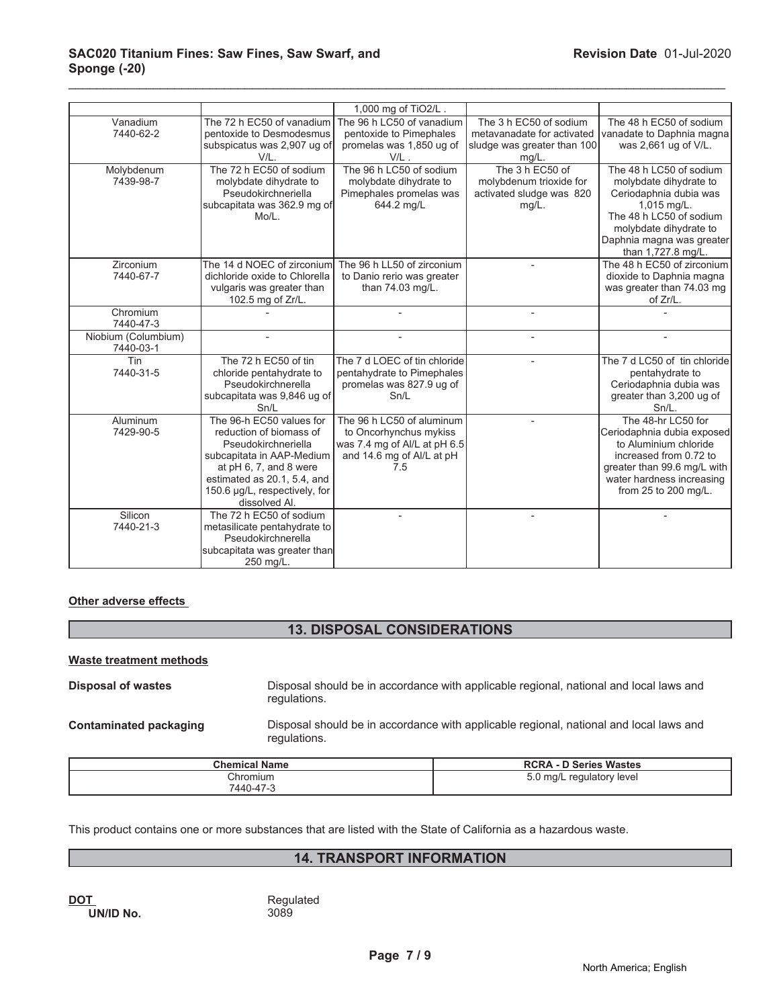# **SAC020 Titanium Fines: Saw Fines, Saw Swarf, and Sponge (-20)**

|                                  |                                                                                                                                                                                                                    | 1,000 mg of TiO <sub>2/L</sub> .                                                                                        |                                                                                                 |                                                                                                                                                                                                    |
|----------------------------------|--------------------------------------------------------------------------------------------------------------------------------------------------------------------------------------------------------------------|-------------------------------------------------------------------------------------------------------------------------|-------------------------------------------------------------------------------------------------|----------------------------------------------------------------------------------------------------------------------------------------------------------------------------------------------------|
| Vanadium<br>7440-62-2            | The 72 h EC50 of vanadium<br>pentoxide to Desmodesmus<br>subspicatus was 2,907 ug of<br>V/L.                                                                                                                       | The 96 h LC50 of vanadium<br>pentoxide to Pimephales<br>promelas was 1,850 ug of<br>V/L.                                | The 3 h EC50 of sodium<br>metavanadate for activated<br>sludge was greater than 100<br>$mg/L$ . | The 48 h EC50 of sodium<br>vanadate to Daphnia magna<br>was 2,661 ug of V/L.                                                                                                                       |
| Molybdenum<br>7439-98-7          | The 72 h EC50 of sodium<br>molybdate dihydrate to<br>Pseudokirchneriella<br>subcapitata was 362.9 mg of<br>Mo/L.                                                                                                   | The 96 h LC50 of sodium<br>molybdate dihydrate to<br>Pimephales promelas was<br>644.2 mg/L                              | The 3 h EC50 of<br>molybdenum trioxide for<br>activated sludge was 820<br>$mg/L$ .              | The 48 h LC50 of sodium<br>molybdate dihydrate to<br>Ceriodaphnia dubia was<br>1,015 mg/L.<br>The 48 h LC50 of sodium<br>molybdate dihydrate to<br>Daphnia magna was greater<br>than 1,727.8 mg/L. |
| Zirconium<br>7440-67-7           | The 14 d NOEC of zirconium<br>dichloride oxide to Chlorella<br>vulgaris was greater than<br>102.5 mg of Zr/L.                                                                                                      | The 96 h LL50 of zirconium<br>to Danio rerio was greater<br>than 74.03 mg/L.                                            |                                                                                                 | The 48 h EC50 of zirconium<br>dioxide to Daphnia magna<br>was greater than 74.03 mg<br>of Zr/L.                                                                                                    |
| Chromium<br>7440-47-3            |                                                                                                                                                                                                                    |                                                                                                                         |                                                                                                 |                                                                                                                                                                                                    |
| Niobium (Columbium)<br>7440-03-1 |                                                                                                                                                                                                                    |                                                                                                                         |                                                                                                 |                                                                                                                                                                                                    |
| Tin<br>7440-31-5                 | The 72 h EC50 of tin<br>chloride pentahydrate to<br>Pseudokirchnerella<br>subcapitata was 9,846 ug of<br>Sn/L                                                                                                      | The 7 d LOEC of tin chloride<br>pentahydrate to Pimephales<br>promelas was 827.9 ug of<br>Sn/L                          |                                                                                                 | The 7 d LC50 of tin chloride<br>pentahydrate to<br>Ceriodaphnia dubia was<br>greater than 3,200 ug of<br>$Sn/L$ .                                                                                  |
| Aluminum<br>7429-90-5            | The 96-h EC50 values for<br>reduction of biomass of<br>Pseudokirchneriella<br>subcapitata in AAP-Medium<br>at pH 6, 7, and 8 were<br>estimated as 20.1, 5.4, and<br>150.6 µg/L, respectively, for<br>dissolved Al. | The 96 h LC50 of aluminum<br>to Oncorhynchus mykiss<br>was 7.4 mg of Al/L at pH 6.5<br>and 14.6 mg of Al/L at pH<br>7.5 |                                                                                                 | The 48-hr LC50 for<br>Ceriodaphnia dubia exposed<br>to Aluminium chloride<br>increased from 0.72 to<br>greater than 99.6 mg/L with<br>water hardness increasing<br>from 25 to 200 mg/L.            |
| Silicon<br>7440-21-3             | The 72 h EC50 of sodium<br>metasilicate pentahydrate to<br>Pseudokirchnerella<br>subcapitata was greater than<br>250 mg/L.                                                                                         |                                                                                                                         |                                                                                                 |                                                                                                                                                                                                    |

\_\_\_\_\_\_\_\_\_\_\_\_\_\_\_\_\_\_\_\_\_\_\_\_\_\_\_\_\_\_\_\_\_\_\_\_\_\_\_\_\_\_\_\_\_\_\_\_\_\_\_\_\_\_\_\_\_\_\_\_\_\_\_\_\_\_\_\_\_\_\_\_\_\_\_\_\_\_\_\_\_\_\_\_\_\_\_\_\_\_\_\_\_

# **Other adverse effects**

# **13. DISPOSAL CONSIDERATIONS**

# **Waste treatment methods**

**Disposal of wastes Disposal should be in accordance with applicable regional, national and local laws and** regulations. **Contaminated packaging** Disposal should be in accordance with applicable regional, national and local laws and

**Chemical Name RCRA - D Series Wastes Chromium**  7440-47-3 5.0 mg/L regulatory level

This product contains one or more substances that are listed with the State of California as a hazardous waste.

# **14. TRANSPORT INFORMATION**

**DOT**<br> **DOT**<br> **DINID No.**<br> **CONTACT AND REGISTED UN/ID No.** 

regulations.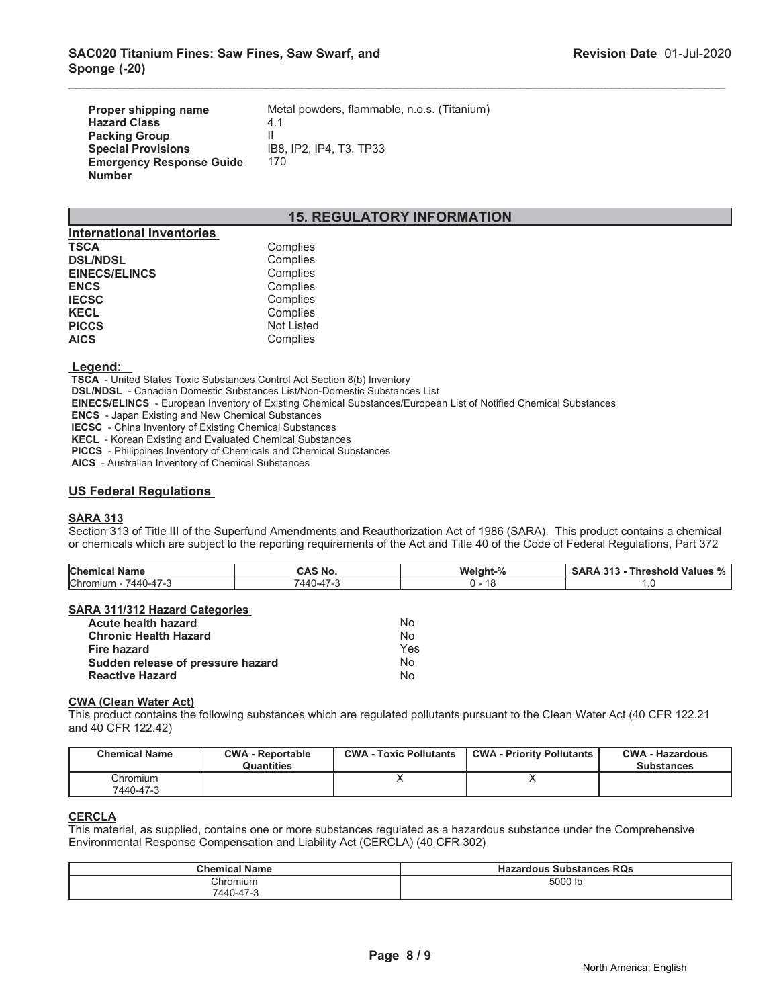| Proper shipping name            | Metal powders, flammable, n.o.s. (Titanium) |
|---------------------------------|---------------------------------------------|
| <b>Hazard Class</b>             | 4.1                                         |
| <b>Packing Group</b>            |                                             |
| <b>Special Provisions</b>       | IB8, IP2, IP4, T3, TP33                     |
| <b>Emergency Response Guide</b> | 170                                         |
| <b>Number</b>                   |                                             |

# **15. REGULATORY INFORMATION**

\_\_\_\_\_\_\_\_\_\_\_\_\_\_\_\_\_\_\_\_\_\_\_\_\_\_\_\_\_\_\_\_\_\_\_\_\_\_\_\_\_\_\_\_\_\_\_\_\_\_\_\_\_\_\_\_\_\_\_\_\_\_\_\_\_\_\_\_\_\_\_\_\_\_\_\_\_\_\_\_\_\_\_\_\_\_\_\_\_\_\_\_\_

| <b>International Inventories</b> |                   |
|----------------------------------|-------------------|
| <b>TSCA</b>                      | Complies          |
| <b>DSL/NDSL</b>                  | Complies          |
| <b>EINECS/ELINCS</b>             | Complies          |
| <b>ENCS</b>                      | Complies          |
| <b>IECSC</b>                     | Complies          |
| <b>KECL</b>                      | Complies          |
| <b>PICCS</b>                     | <b>Not Listed</b> |
| <b>AICS</b>                      | Complies          |

#### **Legend:**

 **TSCA** - United States Toxic Substances Control Act Section 8(b) Inventory

 **DSL/NDSL** - Canadian Domestic Substances List/Non-Domestic Substances List

 **EINECS/ELINCS** - European Inventory of Existing Chemical Substances/European List of Notified Chemical Substances

 **ENCS** - Japan Existing and New Chemical Substances

 **IECSC** - China Inventory of Existing Chemical Substances

 **KECL** - Korean Existing and Evaluated Chemical Substances

 **PICCS** - Philippines Inventory of Chemicals and Chemical Substances

 **AICS** - Australian Inventory of Chemical Substances

# **US Federal Regulations**

# **SARA 313**

Section 313 of Title III of the Superfund Amendments and Reauthorization Act of 1986 (SARA). This product contains a chemical or chemicals which are subject to the reporting requirements of the Act and Title 40 of the Code of Federal Regulations, Part 372

| Chemical<br><b>Name</b>                            | .<br><b>NO</b>                              | $\mathbf{a}$<br>Weight- | 0.40<br>SAR<br>Thresi.<br><b>Values</b><br>hold<br>70<br>. |
|----------------------------------------------------|---------------------------------------------|-------------------------|------------------------------------------------------------|
| Chromium<br>$\rightarrow$<br>/440-47-3<br>,,,,,,,, | $\overline{\phantom{a}}$<br>$\Delta \Delta$ | 4 C<br>10               |                                                            |

# **SARA 311/312 Hazard Categories**

| <b>Acute health hazard</b>        | Nο  |
|-----------------------------------|-----|
| <b>Chronic Health Hazard</b>      | No  |
| <b>Fire hazard</b>                | Yes |
| Sudden release of pressure hazard | No. |
| <b>Reactive Hazard</b>            | No  |

#### **CWA (Clean Water Act)**

This product contains the following substances which are regulated pollutants pursuant to the Clean Water Act (40 CFR 122.21 and 40 CFR 122.42)

| <b>Chemical Name</b>  | <b>CWA - Reportable</b><br>Quantities | <b>CWA - Toxic Pollutants</b> | <b>CWA - Priority Pollutants</b> | <b>CWA - Hazardous</b><br><b>Substances</b> |
|-----------------------|---------------------------------------|-------------------------------|----------------------------------|---------------------------------------------|
| Chromium<br>7440-47-3 |                                       |                               |                                  |                                             |

# **CERCLA**

This material, as supplied, contains one or more substances regulated as a hazardous substance under the Comprehensive Environmental Response Compensation and Liability Act (CERCLA) (40 CFR 302)

| <b>Chemical Name</b> | <b>Hazardous Substances RQs</b> |
|----------------------|---------------------------------|
| Chromium             | 5000 lb                         |
| 7440-47-3            |                                 |